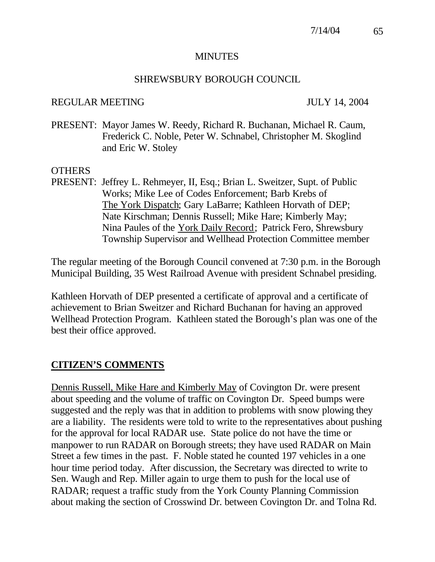#### MINUTES

#### SHREWSBURY BOROUGH COUNCIL

#### REGULAR MEETING JULY 14, 2004

PRESENT: Mayor James W. Reedy, Richard R. Buchanan, Michael R. Caum, Frederick C. Noble, Peter W. Schnabel, Christopher M. Skoglind and Eric W. Stoley

#### **OTHERS**

PRESENT: Jeffrey L. Rehmeyer, II, Esq.; Brian L. Sweitzer, Supt. of Public Works; Mike Lee of Codes Enforcement; Barb Krebs of The York Dispatch; Gary LaBarre; Kathleen Horvath of DEP; Nate Kirschman; Dennis Russell; Mike Hare; Kimberly May; Nina Paules of the York Daily Record; Patrick Fero, Shrewsbury Township Supervisor and Wellhead Protection Committee member

The regular meeting of the Borough Council convened at 7:30 p.m. in the Borough Municipal Building, 35 West Railroad Avenue with president Schnabel presiding.

Kathleen Horvath of DEP presented a certificate of approval and a certificate of achievement to Brian Sweitzer and Richard Buchanan for having an approved Wellhead Protection Program. Kathleen stated the Borough's plan was one of the best their office approved.

## **CITIZEN'S COMMENTS**

Dennis Russell, Mike Hare and Kimberly May of Covington Dr. were present about speeding and the volume of traffic on Covington Dr. Speed bumps were suggested and the reply was that in addition to problems with snow plowing they are a liability. The residents were told to write to the representatives about pushing for the approval for local RADAR use. State police do not have the time or manpower to run RADAR on Borough streets; they have used RADAR on Main Street a few times in the past. F. Noble stated he counted 197 vehicles in a one hour time period today. After discussion, the Secretary was directed to write to Sen. Waugh and Rep. Miller again to urge them to push for the local use of RADAR; request a traffic study from the York County Planning Commission about making the section of Crosswind Dr. between Covington Dr. and Tolna Rd.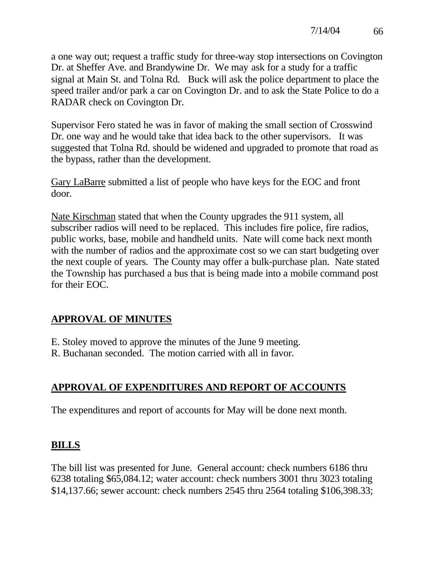a one way out; request a traffic study for three-way stop intersections on Covington Dr. at Sheffer Ave. and Brandywine Dr. We may ask for a study for a traffic signal at Main St. and Tolna Rd. Buck will ask the police department to place the speed trailer and/or park a car on Covington Dr. and to ask the State Police to do a RADAR check on Covington Dr.

Supervisor Fero stated he was in favor of making the small section of Crosswind Dr. one way and he would take that idea back to the other supervisors. It was suggested that Tolna Rd. should be widened and upgraded to promote that road as the bypass, rather than the development.

Gary LaBarre submitted a list of people who have keys for the EOC and front door.

Nate Kirschman stated that when the County upgrades the 911 system, all subscriber radios will need to be replaced. This includes fire police, fire radios, public works, base, mobile and handheld units. Nate will come back next month with the number of radios and the approximate cost so we can start budgeting over the next couple of years. The County may offer a bulk-purchase plan. Nate stated the Township has purchased a bus that is being made into a mobile command post for their EOC.

# **APPROVAL OF MINUTES**

E. Stoley moved to approve the minutes of the June 9 meeting.

R. Buchanan seconded. The motion carried with all in favor.

# **APPROVAL OF EXPENDITURES AND REPORT OF ACCOUNTS**

The expenditures and report of accounts for May will be done next month.

# **BILLS**

The bill list was presented for June. General account: check numbers 6186 thru 6238 totaling \$65,084.12; water account: check numbers 3001 thru 3023 totaling \$14,137.66; sewer account: check numbers 2545 thru 2564 totaling \$106,398.33;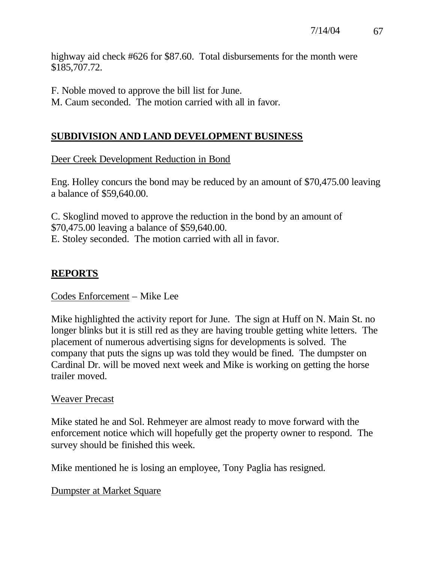highway aid check #626 for \$87.60. Total disbursements for the month were \$185,707.72.

F. Noble moved to approve the bill list for June.

M. Caum seconded. The motion carried with all in favor.

# **SUBDIVISION AND LAND DEVELOPMENT BUSINESS**

#### Deer Creek Development Reduction in Bond

Eng. Holley concurs the bond may be reduced by an amount of \$70,475.00 leaving a balance of \$59,640.00.

C. Skoglind moved to approve the reduction in the bond by an amount of \$70,475.00 leaving a balance of \$59,640.00. E. Stoley seconded. The motion carried with all in favor.

# **REPORTS**

#### Codes Enforcement – Mike Lee

Mike highlighted the activity report for June. The sign at Huff on N. Main St. no longer blinks but it is still red as they are having trouble getting white letters. The placement of numerous advertising signs for developments is solved. The company that puts the signs up was told they would be fined. The dumpster on Cardinal Dr. will be moved next week and Mike is working on getting the horse trailer moved.

#### Weaver Precast

Mike stated he and Sol. Rehmeyer are almost ready to move forward with the enforcement notice which will hopefully get the property owner to respond. The survey should be finished this week.

Mike mentioned he is losing an employee, Tony Paglia has resigned.

Dumpster at Market Square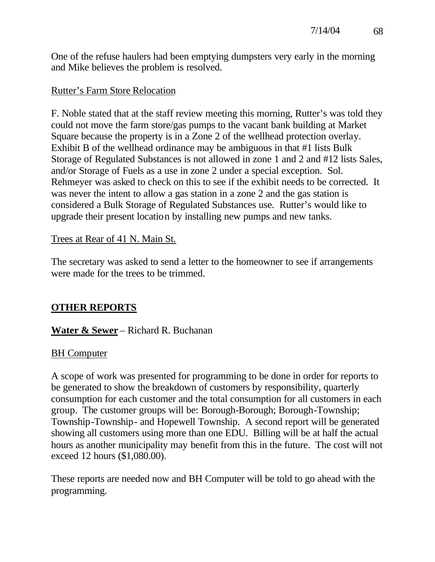One of the refuse haulers had been emptying dumpsters very early in the morning and Mike believes the problem is resolved.

## Rutter's Farm Store Relocation

F. Noble stated that at the staff review meeting this morning, Rutter's was told they could not move the farm store/gas pumps to the vacant bank building at Market Square because the property is in a Zone 2 of the wellhead protection overlay. Exhibit B of the wellhead ordinance may be ambiguous in that #1 lists Bulk Storage of Regulated Substances is not allowed in zone 1 and 2 and #12 lists Sales, and/or Storage of Fuels as a use in zone 2 under a special exception. Sol. Rehmeyer was asked to check on this to see if the exhibit needs to be corrected. It was never the intent to allow a gas station in a zone 2 and the gas station is considered a Bulk Storage of Regulated Substances use. Rutter's would like to upgrade their present location by installing new pumps and new tanks.

## Trees at Rear of 41 N. Main St.

The secretary was asked to send a letter to the homeowner to see if arrangements were made for the trees to be trimmed.

# **OTHER REPORTS**

# **Water & Sewer** – Richard R. Buchanan

## BH Computer

A scope of work was presented for programming to be done in order for reports to be generated to show the breakdown of customers by responsibility, quarterly consumption for each customer and the total consumption for all customers in each group. The customer groups will be: Borough-Borough; Borough-Township; Township-Township- and Hopewell Township. A second report will be generated showing all customers using more than one EDU. Billing will be at half the actual hours as another municipality may benefit from this in the future. The cost will not exceed 12 hours (\$1,080.00).

These reports are needed now and BH Computer will be told to go ahead with the programming.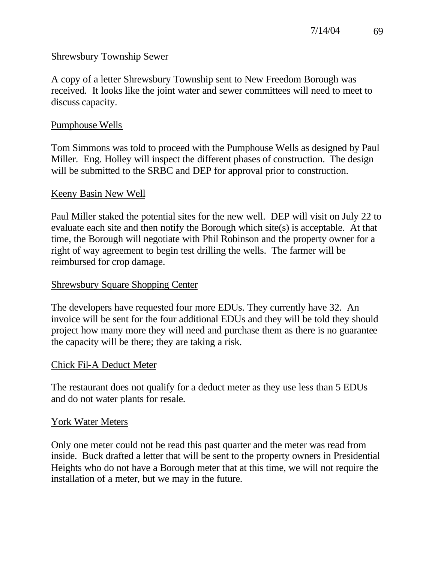#### Shrewsbury Township Sewer

A copy of a letter Shrewsbury Township sent to New Freedom Borough was received. It looks like the joint water and sewer committees will need to meet to discuss capacity.

#### Pumphouse Wells

Tom Simmons was told to proceed with the Pumphouse Wells as designed by Paul Miller. Eng. Holley will inspect the different phases of construction. The design will be submitted to the SRBC and DEP for approval prior to construction.

#### Keeny Basin New Well

Paul Miller staked the potential sites for the new well. DEP will visit on July 22 to evaluate each site and then notify the Borough which site(s) is acceptable. At that time, the Borough will negotiate with Phil Robinson and the property owner for a right of way agreement to begin test drilling the wells. The farmer will be reimbursed for crop damage.

#### Shrewsbury Square Shopping Center

The developers have requested four more EDUs. They currently have 32. An invoice will be sent for the four additional EDUs and they will be told they should project how many more they will need and purchase them as there is no guarantee the capacity will be there; they are taking a risk.

#### Chick Fil-A Deduct Meter

The restaurant does not qualify for a deduct meter as they use less than 5 EDUs and do not water plants for resale.

#### York Water Meters

Only one meter could not be read this past quarter and the meter was read from inside. Buck drafted a letter that will be sent to the property owners in Presidential Heights who do not have a Borough meter that at this time, we will not require the installation of a meter, but we may in the future.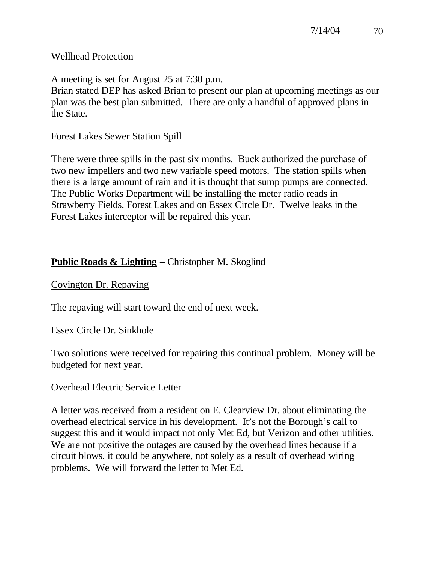## Wellhead Protection

A meeting is set for August 25 at 7:30 p.m.

Brian stated DEP has asked Brian to present our plan at upcoming meetings as our plan was the best plan submitted. There are only a handful of approved plans in the State.

# Forest Lakes Sewer Station Spill

There were three spills in the past six months. Buck authorized the purchase of two new impellers and two new variable speed motors. The station spills when there is a large amount of rain and it is thought that sump pumps are connected. The Public Works Department will be installing the meter radio reads in Strawberry Fields, Forest Lakes and on Essex Circle Dr. Twelve leaks in the Forest Lakes interceptor will be repaired this year.

# **Public Roads & Lighting** – Christopher M. Skoglind

# Covington Dr. Repaving

The repaving will start toward the end of next week.

# Essex Circle Dr. Sinkhole

Two solutions were received for repairing this continual problem. Money will be budgeted for next year.

# Overhead Electric Service Letter

A letter was received from a resident on E. Clearview Dr. about eliminating the overhead electrical service in his development. It's not the Borough's call to suggest this and it would impact not only Met Ed, but Verizon and other utilities. We are not positive the outages are caused by the overhead lines because if a circuit blows, it could be anywhere, not solely as a result of overhead wiring problems. We will forward the letter to Met Ed.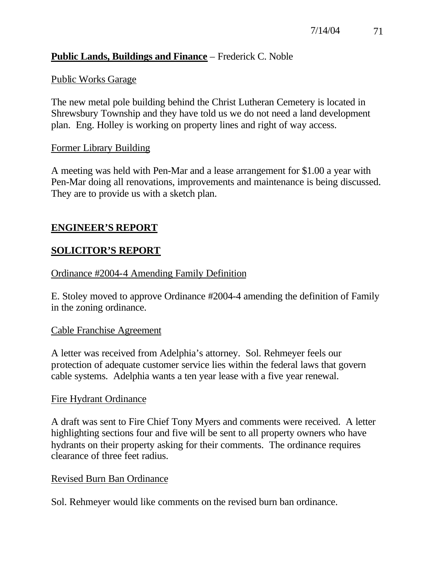## **Public Lands, Buildings and Finance** – Frederick C. Noble

## Public Works Garage

The new metal pole building behind the Christ Lutheran Cemetery is located in Shrewsbury Township and they have told us we do not need a land development plan. Eng. Holley is working on property lines and right of way access.

## Former Library Building

A meeting was held with Pen-Mar and a lease arrangement for \$1.00 a year with Pen-Mar doing all renovations, improvements and maintenance is being discussed. They are to provide us with a sketch plan.

# **ENGINEER'S REPORT**

# **SOLICITOR'S REPORT**

## Ordinance #2004-4 Amending Family Definition

E. Stoley moved to approve Ordinance #2004-4 amending the definition of Family in the zoning ordinance.

## Cable Franchise Agreement

A letter was received from Adelphia's attorney. Sol. Rehmeyer feels our protection of adequate customer service lies within the federal laws that govern cable systems. Adelphia wants a ten year lease with a five year renewal.

## Fire Hydrant Ordinance

A draft was sent to Fire Chief Tony Myers and comments were received. A letter highlighting sections four and five will be sent to all property owners who have hydrants on their property asking for their comments. The ordinance requires clearance of three feet radius.

## Revised Burn Ban Ordinance

Sol. Rehmeyer would like comments on the revised burn ban ordinance.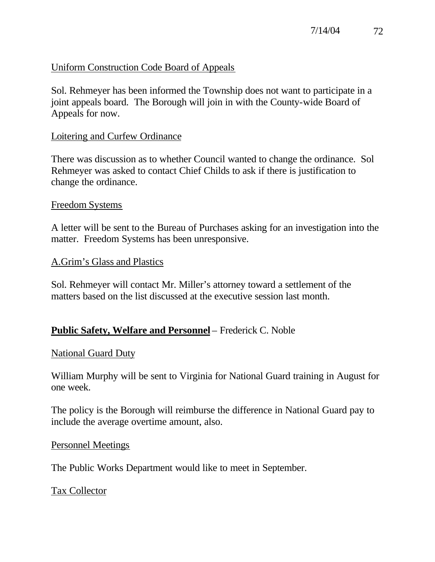## Uniform Construction Code Board of Appeals

Sol. Rehmeyer has been informed the Township does not want to participate in a joint appeals board. The Borough will join in with the County-wide Board of Appeals for now.

#### Loitering and Curfew Ordinance

There was discussion as to whether Council wanted to change the ordinance. Sol Rehmeyer was asked to contact Chief Childs to ask if there is justification to change the ordinance.

#### Freedom Systems

A letter will be sent to the Bureau of Purchases asking for an investigation into the matter. Freedom Systems has been unresponsive.

#### A.Grim's Glass and Plastics

Sol. Rehmeyer will contact Mr. Miller's attorney toward a settlement of the matters based on the list discussed at the executive session last month.

## **Public Safety, Welfare and Personnel** – Frederick C. Noble

#### National Guard Duty

William Murphy will be sent to Virginia for National Guard training in August for one week.

The policy is the Borough will reimburse the difference in National Guard pay to include the average overtime amount, also.

#### Personnel Meetings

The Public Works Department would like to meet in September.

#### Tax Collector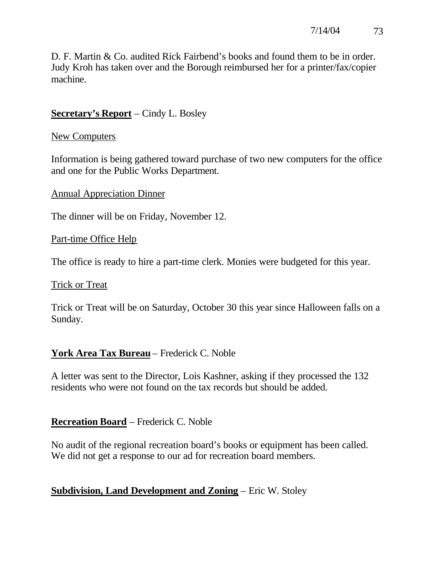D. F. Martin & Co. audited Rick Fairbend's books and found them to be in order. Judy Kroh has taken over and the Borough reimbursed her for a printer/fax/copier machine.

## **Secretary's Report** – Cindy L. Bosley

#### New Computers

Information is being gathered toward purchase of two new computers for the office and one for the Public Works Department.

Annual Appreciation Dinner

The dinner will be on Friday, November 12.

Part-time Office Help

The office is ready to hire a part-time clerk. Monies were budgeted for this year.

#### Trick or Treat

Trick or Treat will be on Saturday, October 30 this year since Halloween falls on a Sunday.

## **York Area Tax Bureau** – Frederick C. Noble

A letter was sent to the Director, Lois Kashner, asking if they processed the 132 residents who were not found on the tax records but should be added.

## **Recreation Board** – Frederick C. Noble

No audit of the regional recreation board's books or equipment has been called. We did not get a response to our ad for recreation board members.

## **Subdivision, Land Development and Zoning** – Eric W. Stoley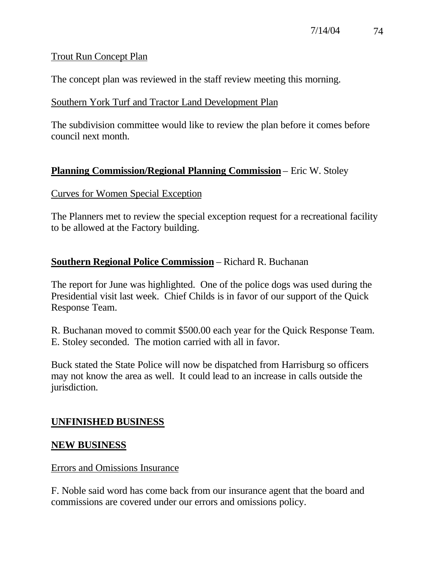## Trout Run Concept Plan

The concept plan was reviewed in the staff review meeting this morning.

## Southern York Turf and Tractor Land Development Plan

The subdivision committee would like to review the plan before it comes before council next month.

# **Planning Commission/Regional Planning Commission** – Eric W. Stoley

## Curves for Women Special Exception

The Planners met to review the special exception request for a recreational facility to be allowed at the Factory building.

## **Southern Regional Police Commission** – Richard R. Buchanan

The report for June was highlighted. One of the police dogs was used during the Presidential visit last week. Chief Childs is in favor of our support of the Quick Response Team.

R. Buchanan moved to commit \$500.00 each year for the Quick Response Team. E. Stoley seconded. The motion carried with all in favor.

Buck stated the State Police will now be dispatched from Harrisburg so officers may not know the area as well. It could lead to an increase in calls outside the jurisdiction.

# **UNFINISHED BUSINESS**

## **NEW BUSINESS**

## Errors and Omissions Insurance

F. Noble said word has come back from our insurance agent that the board and commissions are covered under our errors and omissions policy.